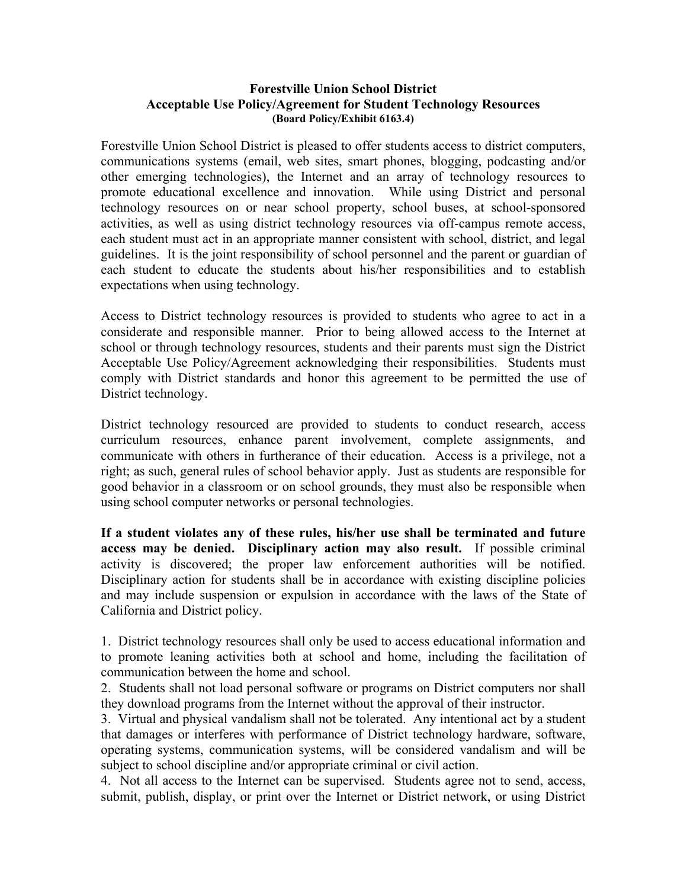## **Forestville Union School District Acceptable Use Policy/Agreement for Student Technology Resources (Board Policy/Exhibit 6163.4)**

Forestville Union School District is pleased to offer students access to district computers, communications systems (email, web sites, smart phones, blogging, podcasting and/or other emerging technologies), the Internet and an array of technology resources to promote educational excellence and innovation. While using District and personal technology resources on or near school property, school buses, at school-sponsored activities, as well as using district technology resources via off-campus remote access, each student must act in an appropriate manner consistent with school, district, and legal guidelines. It is the joint responsibility of school personnel and the parent or guardian of each student to educate the students about his/her responsibilities and to establish expectations when using technology.

Access to District technology resources is provided to students who agree to act in a considerate and responsible manner. Prior to being allowed access to the Internet at school or through technology resources, students and their parents must sign the District Acceptable Use Policy/Agreement acknowledging their responsibilities. Students must comply with District standards and honor this agreement to be permitted the use of District technology.

District technology resourced are provided to students to conduct research, access curriculum resources, enhance parent involvement, complete assignments, and communicate with others in furtherance of their education. Access is a privilege, not a right; as such, general rules of school behavior apply. Just as students are responsible for good behavior in a classroom or on school grounds, they must also be responsible when using school computer networks or personal technologies.

**If a student violates any of these rules, his/her use shall be terminated and future access may be denied. Disciplinary action may also result.** If possible criminal activity is discovered; the proper law enforcement authorities will be notified. Disciplinary action for students shall be in accordance with existing discipline policies and may include suspension or expulsion in accordance with the laws of the State of California and District policy.

1. District technology resources shall only be used to access educational information and to promote leaning activities both at school and home, including the facilitation of communication between the home and school.

2. Students shall not load personal software or programs on District computers nor shall they download programs from the Internet without the approval of their instructor.

3. Virtual and physical vandalism shall not be tolerated. Any intentional act by a student that damages or interferes with performance of District technology hardware, software, operating systems, communication systems, will be considered vandalism and will be subject to school discipline and/or appropriate criminal or civil action.

4. Not all access to the Internet can be supervised. Students agree not to send, access, submit, publish, display, or print over the Internet or District network, or using District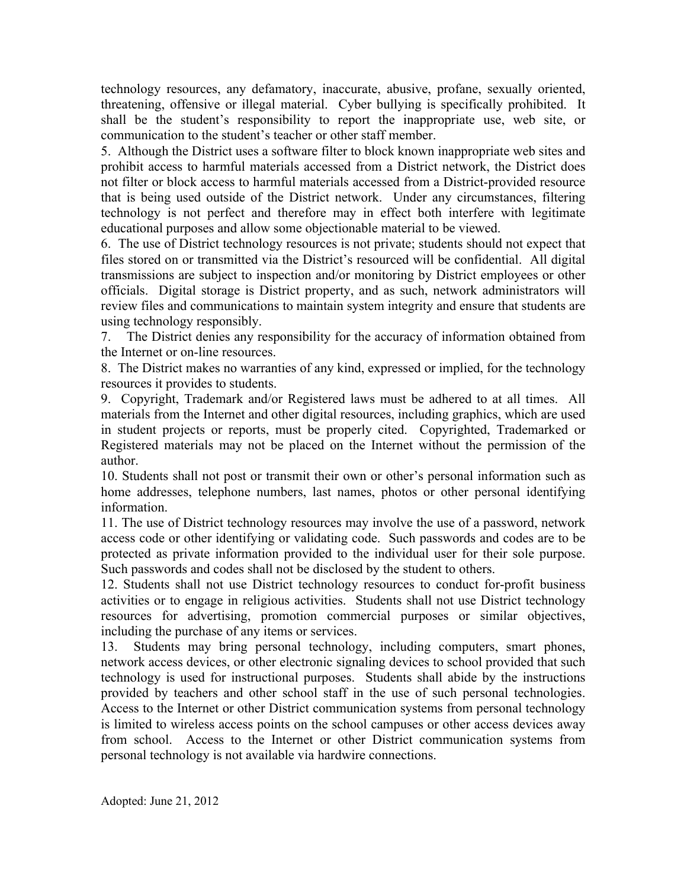technology resources, any defamatory, inaccurate, abusive, profane, sexually oriented, threatening, offensive or illegal material. Cyber bullying is specifically prohibited. It shall be the student's responsibility to report the inappropriate use, web site, or communication to the student's teacher or other staff member.

5. Although the District uses a software filter to block known inappropriate web sites and prohibit access to harmful materials accessed from a District network, the District does not filter or block access to harmful materials accessed from a District-provided resource that is being used outside of the District network. Under any circumstances, filtering technology is not perfect and therefore may in effect both interfere with legitimate educational purposes and allow some objectionable material to be viewed.

6. The use of District technology resources is not private; students should not expect that files stored on or transmitted via the District's resourced will be confidential. All digital transmissions are subject to inspection and/or monitoring by District employees or other officials. Digital storage is District property, and as such, network administrators will review files and communications to maintain system integrity and ensure that students are using technology responsibly.

7. The District denies any responsibility for the accuracy of information obtained from the Internet or on-line resources.

8. The District makes no warranties of any kind, expressed or implied, for the technology resources it provides to students.

9. Copyright, Trademark and/or Registered laws must be adhered to at all times. All materials from the Internet and other digital resources, including graphics, which are used in student projects or reports, must be properly cited. Copyrighted, Trademarked or Registered materials may not be placed on the Internet without the permission of the author.

10. Students shall not post or transmit their own or other's personal information such as home addresses, telephone numbers, last names, photos or other personal identifying information.

11. The use of District technology resources may involve the use of a password, network access code or other identifying or validating code. Such passwords and codes are to be protected as private information provided to the individual user for their sole purpose. Such passwords and codes shall not be disclosed by the student to others.

12. Students shall not use District technology resources to conduct for-profit business activities or to engage in religious activities. Students shall not use District technology resources for advertising, promotion commercial purposes or similar objectives, including the purchase of any items or services.

13. Students may bring personal technology, including computers, smart phones, network access devices, or other electronic signaling devices to school provided that such technology is used for instructional purposes. Students shall abide by the instructions provided by teachers and other school staff in the use of such personal technologies. Access to the Internet or other District communication systems from personal technology is limited to wireless access points on the school campuses or other access devices away from school. Access to the Internet or other District communication systems from personal technology is not available via hardwire connections.